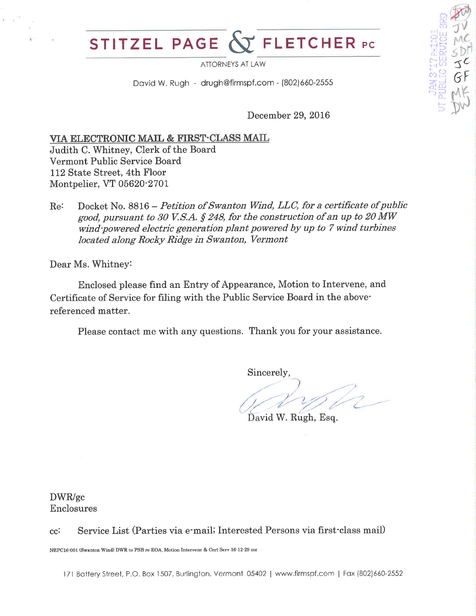## ELETCHER PC STITZEL PAGE

**ATTORNEYS AT LAW** 

David W. Rugh - drugh@firmspf.com - (802)660-2555

December 29, 2016

### VIA ELECTRONIC MAIL & FIRST-CLASS MAIL

Judith C. Whitney, Clerk of the Board Vermont Public Service Board 112 State Street, 4th Floor Montpelier, VT 05620-2701

Docket No. 8816 – Petition of Swanton Wind, LLC, for a certificate of public Re: good, pursuant to 30 V.S.A. § 248, for the construction of an up to 20 MW wind-powered electric generation plant powered by up to 7 wind turbines located along Rocky Ridge in Swanton, Vermont

Dear Ms. Whitney:

Enclosed please find an Entry of Appearance, Motion to Intervene, and Certificate of Service for filing with the Public Service Board in the abovereferenced matter.

Please contact me with any questions. Thank you for your assistance.

Sincerely

David W. Rugh, Esq.

DWR/gc Enclosures

Service List (Parties via e-mail; Interested Persons via first-class mail)  $cc$ :

NRPC16-001 (Swanton Wind) DWR to PSB re EOA, Motion Intervene & Cert Serv 16-12-29 cor

171 Battery Street, P.O. Box 1507, Burlington, Vermont 05402 | www.firmspf.com | Fax (802)660-2552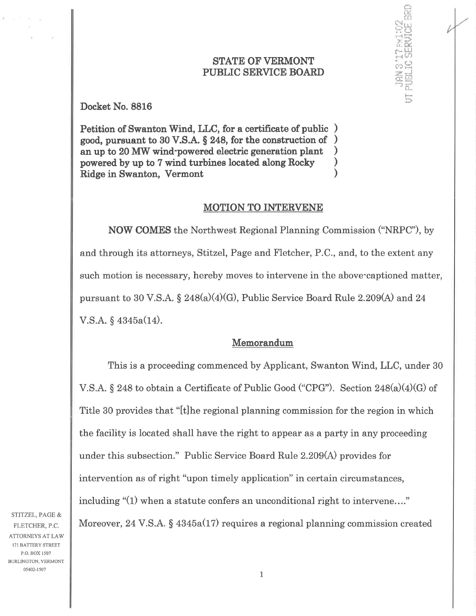#### **STATE OF VERMONT** PUBLIC SERVICE BOARD

ç:Å t-ä er<br>Sid

¡i: Éc r,- LLI |.-''r tJl

است<sup>ا</sup>ر بن<br>اسمار بن **.**<br>o: co

Petition of Swanton Wind, LLC, for a certificate of public ) good, pursuant to 30 V.S.A. S 248, for the construction of ) an up to 20 MW wind-powered electric generation plant powered by up to 7 wind turbines located along Rocky  $\bigcup_{n=1}^{\infty}$  ) Ridge in Swanton, Vermont )

#### MOTION TO INTERVENE

NOW COMES the Northwest Regional Planning Commission ("NRPC"), by and through its attorneys, Stitzel, Page and Fletcher, P.C., and, to the extent any such motion is necessary, hereby moves to intervene in the above-captioned matter, pursuant to 30 V.S.A.  $\S 248(a)(4)(G)$ , Public Service Board Rule 2.209(A) and 24  $V.S.A. \S 4345a(14).$ 

#### Memorandum

This is a proceeding commenced by Applicant, Swanton Wind, LLC, under 30 V.S.A.  $\S 248$  to obtain a Certificate of Public Good ("CPG"). Section  $248(a)(4)(G)$  of Titte 30 provides that "[t]he regional planning commission for the region in which the facility is located shall have the right to appear as a party in any proceeding under this subsection." Public Service Board Rule 2.209(A) provides for intervention as of right "upon timely application" in certain circumstances, including "(1) when a statute confers an unconditional right to intervene...." Moreover, 24 V.S.A.  $\S$  4345a(17) requires a regional planning commission created

STITZEL, PAGE & FLETCHER, P.C. ATTORNEYS AT LAW I7I BATTERY STREET P.O. BOX 1507 BURLINGTON, VERMONT 05402-1507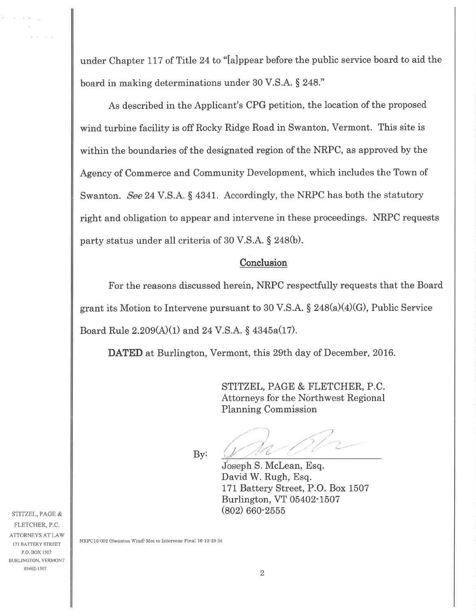under Chapter 117 of Title 24 to "lalppear before the public service board to aid the board in making determinations under 30 V.S.A. S 248."

As described in the Applicant's CPG petition, the location of the proposed wind turbine facility is off Rocky Ridge Road in Swanton, Vermont. This site is within the boundaries of the designated region of the NRPC, as approved by the Agency of Commerce and Community Development, which includes the Town of Swanton. See 24 V.S.A. § 4341. Accordingly, the NRPC has both the statutory right and obligation to appear and intervene in these proceedings. NRPC requests party status under all criteria of 30 V.S.A. S 248(b).

#### **Conclusion**

For the reasons discussed herein, NRPC respectfully requests that the Board grant its Motion to Intervene pursuant to 30 V.S.A.  $\S 248(a)(4)(G)$ , Public Service Board Rule  $2.209(A)(1)$  and  $24 \text{ V.S.A. }$  §  $4345a(17)$ .

DATED at Burlington, Vermont, this 29th day of December, 2016.

STITZEL, PAGE & FLETCHER, P.C. Attorneys for the Northwest Regional Planning Commission

 $By:$ 

) ... *p* /- $/2$ 

Joseph S. McLean, Esq. David W. Rugh, Esq. 171 Battery Street, P.O. Box 1507 Burlington, VT 05402-1507 (eoz) 660-2556

STITZEL, PAGE & FLETCHER, P.C. ATTORNEYS AT LAW I7I BATTERY STREET P.O. BOX 1507 BURLINGTON, VERMONT 05402-1507

 $-2.3$ 

W.

NRPC16-002 (Swanton Wind) Mot to Intervene Final 16-12-29 lit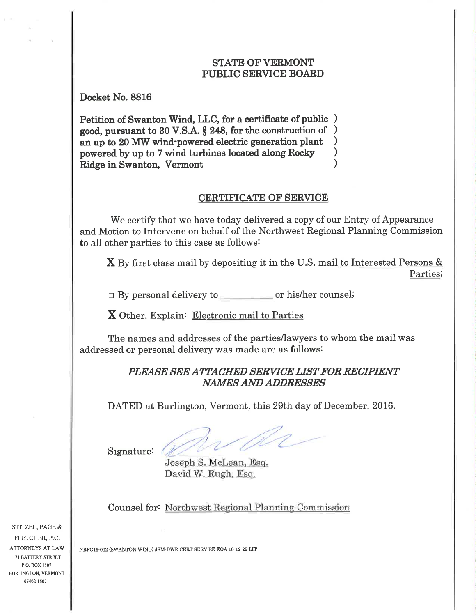#### **STATE OF VERMONT** PUBLIC SERVICE BOARD

Docket No. 8816

Petition of Swanton Wind, LLC, for a certificate of public ) good, pursuant to 30 V.S.A. § 248, for the construction of  $\left.\rule{0.3cm}{.0cm}\right)$ an up to 20 MW wind-powered electric generation plant powered by up to 7 wind turbines located along Rocky Ridge in Swanton, Vermont ) ) )

#### CERTIFICATE OF SERVICE

We certify that we have today delivered a copy of our Entry of Appearance and Motion to Intervene on behalf of the Northwest Regional Planning Commission to all other parties to this case as follows:

 $X$  By first class mail by depositing it in the U.S. mail to Interested Persons  $\&$ Partiesi

 $\Box$  By personal delivery to  $\Box$  or his/her counsel:

X Other. Explain: Electronic mail to Parties

The names and addresses of the parties/lawyers to whom the mail was addressed or personal delivery was made are as follows:

# PLEASE SEE ATTACHED SERVICE LIST FOR RECIPIENT<br>NAMES AND ADDRESSES

DATED at Burlington, Vermont, this 29th day of December, 2016.

Signature:

Joseph S. Mclean. Esq. David W. Rugh. Esq.

Counsel for: Northwest Regional Plannine Commission

STITZEL, PAGE & FLETCHER, P.C. ATTORNEYS AT LAW I7I BATTERY STREET P.O. BOX 1507 BURIINGTON, VERMONT 05402-1507

NRPC16-002 (SWANTON WIND) JSM-DWR CERT SERV RE EOA 16-12-29 LIT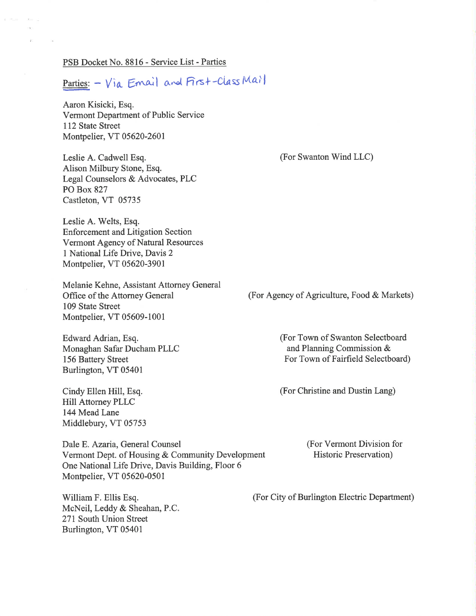#### PSB Docket No. 8816 - Service List - Parties

 $1.011$ 

 $Parties: - Via Email and First-ClassMa1$ </u>

Aaron Kisicki, Esq. Vermont Department of Public Service <sup>1</sup>12 State Street Montpelier, VT 05620-2601

Leslie A. Cadwell Esq. Alison Milbury Stone, Esq. Legal Counselors & Advocates, PLC PO Box 827 Castleton, VT 05735

Leslie A. Welts, Esq. Enforcement and Litigation Section Vermont Agency of Natural Resources I National Life Drive, Davis 2 Montpelier, VT 05620-3901

Melanie Kehne, Assistant Attorney General Offïce of the Attorney General 109 State Street Montpelier, VT 05609-1001

Edward Adrian, Esq Monaghan Safar Ducham PLLC 156 Battery Street Burlington, VT 05401

Cindy Ellen Hill, Esq. Hill Attorney PLLC 144 Mead Lane Middlebury, VT 05753

Dale E. Azaria, General Counsel Vermont Dept. of Housing & Community Development One National Life Drive, Davis Building, Floor 6 Monþelier, VT 05620-0501

William F. Ellis Esq. McNeil, Leddy & Sheahan, P.C 271 South Union Street Burlington, VT 05401

(For Swanton Wind LLC)

(For Agency of Agriculture, Food & Markets)

(For Town of Swanton Selectboard and Planning Commission & For Town of Fairfield Selectboard)

(For Christine and Dustin Lang)

(For Vermont Division for Historic Preservation)

(For City of Burlington Electric Department)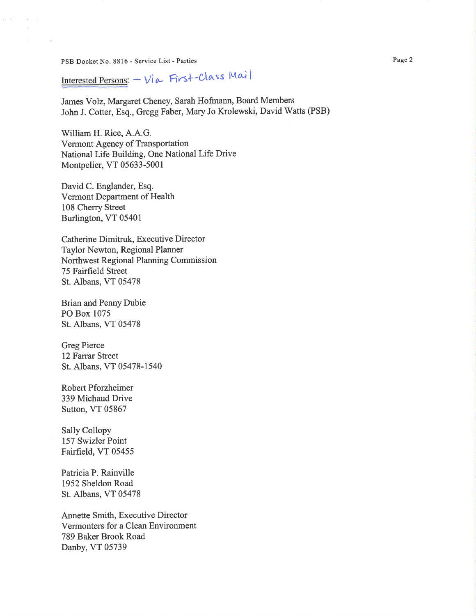PSB Docket No. 8816 - Service List - Parties

 $0.8 -$ 

 $\mathcal{P}$  .  $\mathcal{A}$  .

Interested Persons: - Via First-Class Mail

James Volz, Margaret Cheney, Sarah Hofmann, Board Members John J. Cotter, Esq., Gregg Faber, Mary Jo Krolewski, David Watts (PSB)

William H. Rice, A.A.G. Vermont Agency of Transportation National Life Building, One National Life Drive Montpelier, VT 05633-5001

David C. Englander, Esq. Vermont Department of Health 108 Cherry Street Burlington, VT 05401

Catherine Dimitruk, Executive Director Taylor Newton, Regional Planner Northwest Regional Planning Commission 75 Fairfield Street St. Albans, VT 05478

**Brian and Penny Dubie** PO Box 1075 St. Albans, VT 05478

**Greg Pierce** 12 Farrar Street St. Albans, VT 05478-1540

**Robert Pforzheimer** 339 Michaud Drive Sutton, VT 05867

**Sally Collopy** 157 Swizler Point Fairfield, VT 05455

Patricia P. Rainville 1952 Sheldon Road St. Albans, VT 05478

Annette Smith, Executive Director Vermonters for a Clean Environment 789 Baker Brook Road Danby, VT 05739